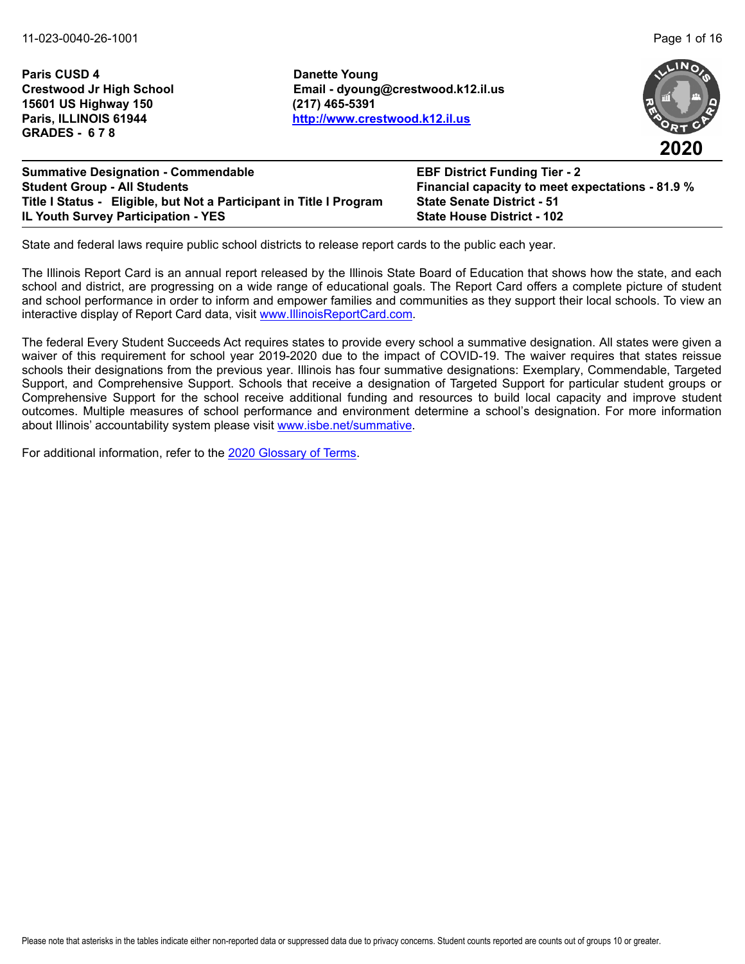**Paris CUSD 4 Danette Young 15601 US Highway 150 (217) 465-5391 GRADES - 6 7 8**

**Crestwood Jr High School Email - dyoung@crestwood.k12.il.us Paris, ILLINOIS 61944 <http://www.crestwood.k12.il.us>**



**2020**

**Summative Designation - Commendable EBF District Funding Tier - 2 Student Group - All Students Financial capacity to meet expectations - 81.9 % Title I Status - Eligible, but Not a Participant in Title I Program State Senate District - 51 IL Youth Survey Participation - YES State House District - 102**

State and federal laws require public school districts to release report cards to the public each year.

The Illinois Report Card is an annual report released by the Illinois State Board of Education that shows how the state, and each school and district, are progressing on a wide range of educational goals. The Report Card offers a complete picture of student and school performance in order to inform and empower families and communities as they support their local schools. To view an interactive display of Report Card data, visit [www.IllinoisReportCard.com](https://www.illinoisreportcard.com/).

The federal Every Student Succeeds Act requires states to provide every school a summative designation. All states were given a waiver of this requirement for school year 2019-2020 due to the impact of COVID-19. The waiver requires that states reissue schools their designations from the previous year. Illinois has four summative designations: Exemplary, Commendable, Targeted Support, and Comprehensive Support. Schools that receive a designation of Targeted Support for particular student groups or Comprehensive Support for the school receive additional funding and resources to build local capacity and improve student outcomes. Multiple measures of school performance and environment determine a school's designation. For more information [about Illinois' accountabil](https://www.isbe.net/summative)ity system please visit [www.isbe.net/summative.](http://www.isbe.net/summative)

For additional information, refer to th[e 2020 Glossary of Terms.](https://www.isbe.net/Documents/2020-Glossary-of-Terms.pdf)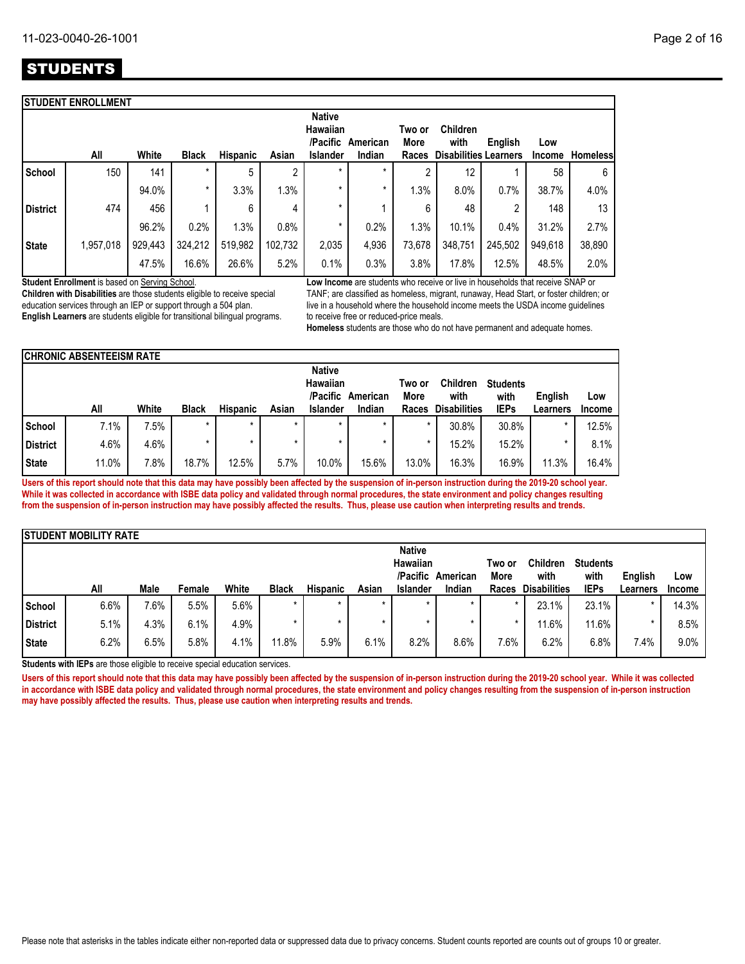|                 | <b>STUDENT ENROLLMENT</b> |         |              |          |         |                                                   |                    |                         |                                                         |         |                      |                 |
|-----------------|---------------------------|---------|--------------|----------|---------|---------------------------------------------------|--------------------|-------------------------|---------------------------------------------------------|---------|----------------------|-----------------|
|                 | All                       | White   | <b>Black</b> | Hispanic | Asian   | <b>Native</b><br>Hawaiian<br>/Pacific<br>Islander | American<br>Indian | Two or<br>More<br>Races | <b>Children</b><br>with<br><b>Disabilities Learners</b> | English | Low<br><b>Income</b> | <b>Homeless</b> |
| School          | 150                       | 141     | $\star$      | 5        | c       | $\star$                                           | *                  | ∩                       | 12                                                      |         | 58                   | 6               |
|                 |                           | 94.0%   | $\star$      | 3.3%     | 1.3%    | *                                                 | $\star$            | 1.3%                    | 8.0%                                                    | 0.7%    | 38.7%                | 4.0%            |
| <b>District</b> | 474                       | 456     |              | 6        | 4       | *                                                 |                    | 6                       | 48                                                      | C<br>∠  | 148                  | 13              |
|                 |                           | 96.2%   | 0.2%         | 1.3%     | 0.8%    | *                                                 | 0.2%               | 1.3%                    | 10.1%                                                   | 0.4%    | 31.2%                | 2.7%            |
| <b>State</b>    | 1,957,018                 | 929,443 | 324,212      | 519,982  | 102,732 | 2,035                                             | 4,936              | 73,678                  | 348,751                                                 | 245,502 | 949,618              | 38,890          |
|                 |                           | 47.5%   | 16.6%        | 26.6%    | 5.2%    | 0.1%                                              | 0.3%               | 3.8%                    | 17.8%                                                   | 12.5%   | 48.5%                | 2.0%            |
|                 |                           |         |              |          |         |                                                   |                    |                         |                                                         |         |                      |                 |

**Student Enrollment** is based on Serving School.

**Children with Disabilities** are those students eligible to receive special education services through an IEP or support through a 504 plan. **English Learners** are students eligible for transitional bilingual programs. **Low Income** are students who receive or live in households that receive SNAP or TANF; are classified as homeless, migrant, runaway, Head Start, or foster children; or live in a household where the household income meets the USDA income guidelines to receive free or reduced-price meals.

**Homeless** students are those who do not have permanent and adequate homes.

|                 | <b>CHRONIC ABSENTEEISM RATE</b> |       |              |                 |       |                           |          |        |                     |                 |          |               |
|-----------------|---------------------------------|-------|--------------|-----------------|-------|---------------------------|----------|--------|---------------------|-----------------|----------|---------------|
|                 |                                 |       |              |                 |       | <b>Native</b><br>Hawaiian |          | Two or | <b>Children</b>     | <b>Students</b> |          |               |
|                 |                                 |       |              |                 |       | /Pacific                  | American | More   | with                | with            | English  | Low           |
|                 | All                             | White | <b>Black</b> | <b>Hispanic</b> | Asian | <b>Islander</b>           | Indian   | Races  | <b>Disabilities</b> | <b>IEPs</b>     | Learners | <b>Income</b> |
| School          | 7.1%                            | 7.5%  | $\star$      | $\star$         |       |                           | $\star$  |        | 30.8%               | 30.8%           | $\star$  | 12.5%         |
| <b>District</b> | 4.6%                            | 4.6%  |              |                 |       |                           |          |        | 15.2%               | 15.2%           | *        | 8.1%          |
| <b>State</b>    | 11.0%                           | 7.8%  | 18.7%        | 12.5%           | 5.7%  | 10.0%                     | 15.6%    | 13.0%  | 16.3%               | 16.9%           | 11.3%    | 16.4%         |

**Users of this report should note that this data may have possibly been affected by the suspension of in-person instruction during the 2019-20 school year. While it was collected in accordance with ISBE data policy and validated through normal procedures, the state environment and policy changes resulting from the suspension of in-person instruction may have possibly affected the results. Thus, please use caution when interpreting results and trends.**

|                 | <b>ISTUDENT MOBILITY RATE</b> |      |        |       |              |                 |         |                 |          |         |                     |                 |          |               |
|-----------------|-------------------------------|------|--------|-------|--------------|-----------------|---------|-----------------|----------|---------|---------------------|-----------------|----------|---------------|
|                 |                               |      |        |       |              |                 |         | <b>Native</b>   |          |         |                     |                 |          |               |
|                 |                               |      |        |       |              |                 |         | Hawaiian        |          | Two or  | <b>Children</b>     | <b>Students</b> |          |               |
|                 |                               |      |        |       |              |                 |         | /Pacific        | American | More    | with                | with            | English  | Low           |
|                 | All                           | Male | Female | White | <b>Black</b> | <b>Hispanic</b> | Asian   | <b>Islander</b> | Indian   | Races   | <b>Disabilities</b> | <b>IEPs</b>     | Learners | <b>Income</b> |
| School          | 6.6%                          | 7.6% | 5.5%   | 5.6%  |              | $\star$         | $\star$ | $\star$         | $\star$  | $\star$ | 23.1%               | 23.1%           |          | 14.3%         |
| <b>District</b> | 5.1%                          | 4.3% | 6.1%   | 4.9%  |              |                 |         | $\star$         |          |         | 11.6%               | 11.6%           |          | 8.5%          |
| <b>State</b>    | 6.2%                          | 6.5% | 5.8%   | 4.1%  | 11.8%        | 5.9%            | 6.1%    | 8.2%            | 8.6%     | 7.6%    | 6.2%                | 6.8%            | 7.4%     | 9.0%          |

**Students with IEPs** are those eligible to receive special education services.

Users of this report should note that this data may have possibly been affected by the suspension of in-person instruction during the 2019-20 school year. While it was collected **in accordance with ISBE data policy and validated through normal procedures, the state environment and policy changes resulting from the suspension of in-person instruction may have possibly affected the results. Thus, please use caution when interpreting results and trends.**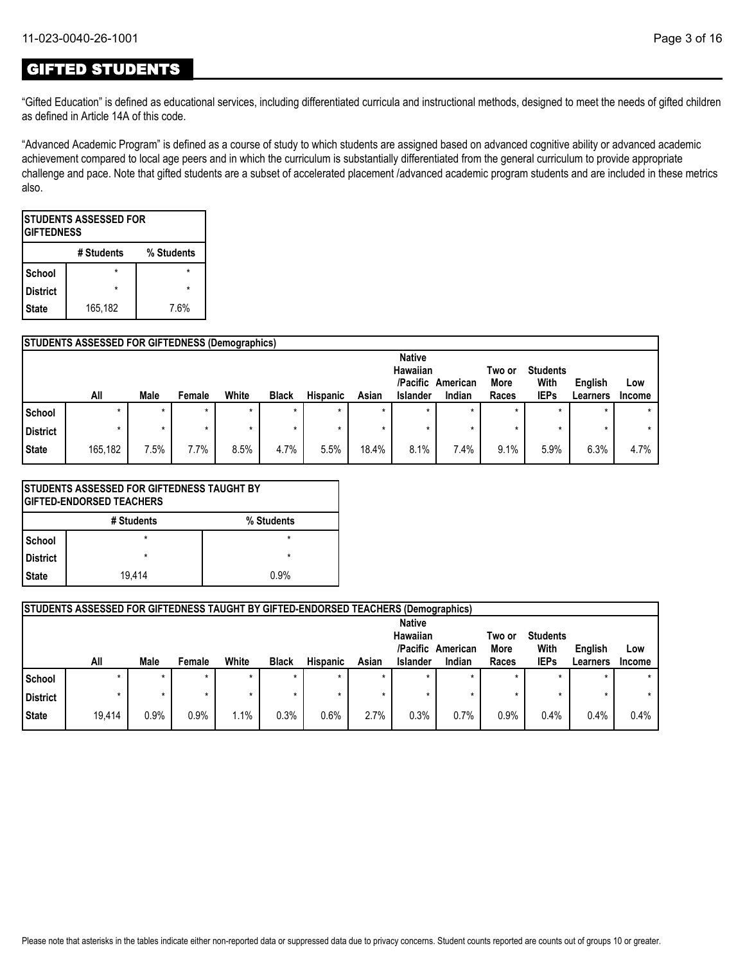# GIFTED STUDENTS

"Gifted Education" is defined as educational services, including differentiated curricula and instructional methods, designed to meet the needs of gifted children as defined in Article 14A of this code.

"Advanced Academic Program" is defined as a course of study to which students are assigned based on advanced cognitive ability or advanced academic achievement compared to local age peers and in which the curriculum is substantially differentiated from the general curriculum to provide appropriate challenge and pace. Note that gifted students are a subset of accelerated placement /advanced academic program students and are included in these metrics also.

| <b>ISTUDENTS ASSESSED FOR</b><br><b>GIFTEDNESS</b> |                          |      |  |  |  |  |  |  |
|----------------------------------------------------|--------------------------|------|--|--|--|--|--|--|
|                                                    | % Students<br># Students |      |  |  |  |  |  |  |
| School                                             |                          |      |  |  |  |  |  |  |
| <b>District</b>                                    | ÷                        |      |  |  |  |  |  |  |
| <b>State</b>                                       | 165,182                  | 7.6% |  |  |  |  |  |  |

|          | <b>STUDENTS ASSESSED FOR GIFTEDNESS (Demographics)</b> |         |        |       |              |                 |         |                           |          |                |                 |          |         |
|----------|--------------------------------------------------------|---------|--------|-------|--------------|-----------------|---------|---------------------------|----------|----------------|-----------------|----------|---------|
|          |                                                        |         |        |       |              |                 |         | <b>Native</b><br>Hawaiian |          |                | <b>Students</b> |          |         |
|          |                                                        |         |        |       |              |                 |         | /Pacific                  | American | Two or<br>More | With            | English  | Low     |
|          | All                                                    | Male    | Female | White | <b>Black</b> | <b>Hispanic</b> | Asian   | <b>Islander</b>           | Indian   | Races          | <b>IEPs</b>     | Learners | Income  |
| School   |                                                        | $\star$ |        |       | $\star$      | $\star$         | $\star$ |                           |          | $\star$        |                 |          | $\star$ |
| District |                                                        | $\star$ |        |       | ÷            | ÷               | $\star$ |                           |          | ×              |                 |          | $\star$ |
| State    | 165,182                                                | 7.5%    | 7.7%   | 8.5%  | 4.7%         | 5.5%            | 18.4%   | 8.1%                      | 7.4%     | 9.1%           | 5.9%            | 6.3%     | 4.7%    |

|                 | <b>ISTUDENTS ASSESSED FOR GIFTEDNESS TAUGHT BY</b><br><b>IGIFTED-ENDORSED TEACHERS</b> |            |  |  |  |  |  |
|-----------------|----------------------------------------------------------------------------------------|------------|--|--|--|--|--|
|                 | # Students                                                                             | % Students |  |  |  |  |  |
| School          | $\star$                                                                                | $\star$    |  |  |  |  |  |
| <b>District</b> | $\star$                                                                                | $\star$    |  |  |  |  |  |
| <b>State</b>    | 0.9%<br>19.414                                                                         |            |  |  |  |  |  |

|                 | <b>STUDENTS ASSESSED FOR GIFTEDNESS TAUGHT BY GIFTED-ENDORSED TEACHERS (Demographics)</b> |         |        |       |              |                 |         |                                                   |                    |                         |                                        |                     |               |
|-----------------|-------------------------------------------------------------------------------------------|---------|--------|-------|--------------|-----------------|---------|---------------------------------------------------|--------------------|-------------------------|----------------------------------------|---------------------|---------------|
|                 | All                                                                                       | Male    | Female | White | <b>Black</b> | <b>Hispanic</b> | Asian   | <b>Native</b><br>Hawaiian<br>/Pacific<br>Islander | American<br>Indian | Two or<br>More<br>Races | <b>Students</b><br>With<br><b>IEPs</b> | English<br>Learners | Low<br>Income |
| School          |                                                                                           | $\star$ |        |       | $\star$      |                 |         |                                                   |                    | $\star$                 | $\star$                                |                     |               |
| <b>District</b> |                                                                                           | $\star$ |        |       | $\star$      |                 | $\star$ |                                                   |                    |                         | $\star$                                |                     |               |
| <b>State</b>    | 19.414                                                                                    | 0.9%    | 0.9%   | 1.1%  | 0.3%         | 0.6%            | 2.7%    | 0.3%                                              | 0.7%               | 0.9%                    | 0.4%                                   | 0.4%                | 0.4%          |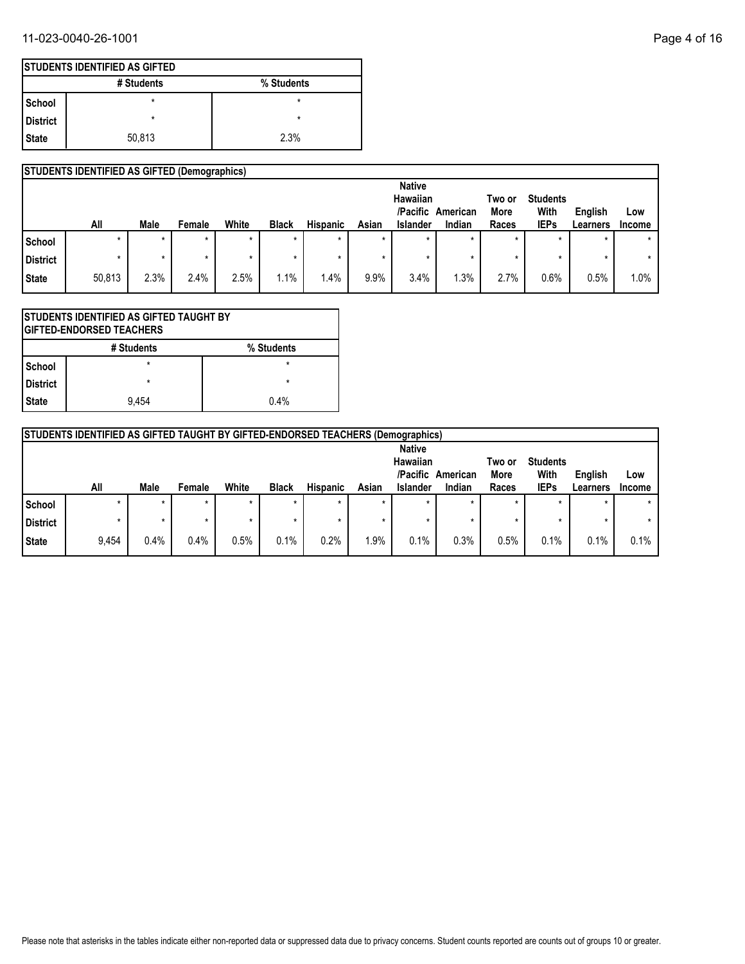## 11-023-0040-26-1001 Page 4 of 16

|            | <b>ISTUDENTS IDENTIFIED AS GIFTED</b> |            |  |  |  |  |  |  |  |
|------------|---------------------------------------|------------|--|--|--|--|--|--|--|
|            | # Students                            | % Students |  |  |  |  |  |  |  |
| l School   | $\star$                               | ×          |  |  |  |  |  |  |  |
| l District | $\star$                               | $\star$    |  |  |  |  |  |  |  |
| State      | 50,813                                | 2.3%       |  |  |  |  |  |  |  |

## **STUDENTS IDENTIFIED AS GIFTED (Demographics)**

|                 |        |         |         |         |              |                 |         | <b>Native</b><br>Hawaiian |          | Two or      | <b>Students</b> |          |               |
|-----------------|--------|---------|---------|---------|--------------|-----------------|---------|---------------------------|----------|-------------|-----------------|----------|---------------|
|                 |        |         |         |         |              |                 |         | /Pacific                  | American | <b>More</b> | With            | English  | Low           |
|                 | All    | Male    | Female  | White   | <b>Black</b> | <b>Hispanic</b> | Asian   | Islander                  | Indian   | Races       | <b>IEPs</b>     | Learners | <b>Income</b> |
| School          | ÷      | $\star$ | $\star$ | $\star$ | $\star$      |                 |         | $\star$                   | $\star$  | $\star$     | $\star$         |          | $\star$       |
| <b>District</b> |        | $\ast$  |         |         | *            |                 |         |                           |          | $\star$     |                 |          | $\star$       |
| State           | 50,813 | 2.3%    | 2.4%    | 2.5%    | 1.1%         | $.4\%$          | $9.9\%$ | 3.4%                      | .3%      | 2.7%        | 0.6%            | 0.5%     | 1.0%          |

|                 | ISTUDENTS IDENTIFIED AS GIFTED TAUGHT BY<br><b>GIFTED-ENDORSED TEACHERS</b> |   |  |  |  |  |  |  |
|-----------------|-----------------------------------------------------------------------------|---|--|--|--|--|--|--|
|                 | # Students<br>% Students                                                    |   |  |  |  |  |  |  |
| School          | $\star$                                                                     | * |  |  |  |  |  |  |
| <b>District</b> | $\star$                                                                     | ÷ |  |  |  |  |  |  |
| <b>State</b>    | 0.4%<br>9.454                                                               |   |  |  |  |  |  |  |

|                 | <b>STUDENTS IDENTIFIED AS GIFTED TAUGHT BY GIFTED-ENDORSED TEACHERS (Demographics)</b> |         |         |       |              |                 |         |                                       |          |                |                         |          |               |
|-----------------|----------------------------------------------------------------------------------------|---------|---------|-------|--------------|-----------------|---------|---------------------------------------|----------|----------------|-------------------------|----------|---------------|
|                 |                                                                                        |         |         |       |              |                 |         | <b>Native</b><br>Hawaiian<br>/Pacific | American | Two or<br>More | <b>Students</b><br>With | English  | Low           |
|                 | All                                                                                    | Male    | Female  | White | <b>Black</b> | <b>Hispanic</b> | Asian   | <b>Islander</b>                       | Indian   | Races          | <b>IEPs</b>             | Learners | <b>Income</b> |
| l School        |                                                                                        | $\star$ | $\star$ |       | $\star$      |                 | $\star$ | $\star$                               |          |                |                         |          |               |
| <b>District</b> |                                                                                        | $\star$ | $\star$ |       |              |                 | $\star$ |                                       |          |                |                         |          |               |
| State           | 9,454                                                                                  | 0.4%    | 0.4%    | 0.5%  | 0.1%         | 0.2%            | 1.9%    | 0.1%                                  | 0.3%     | 0.5%           | 0.1%                    | 0.1%     | 0.1%          |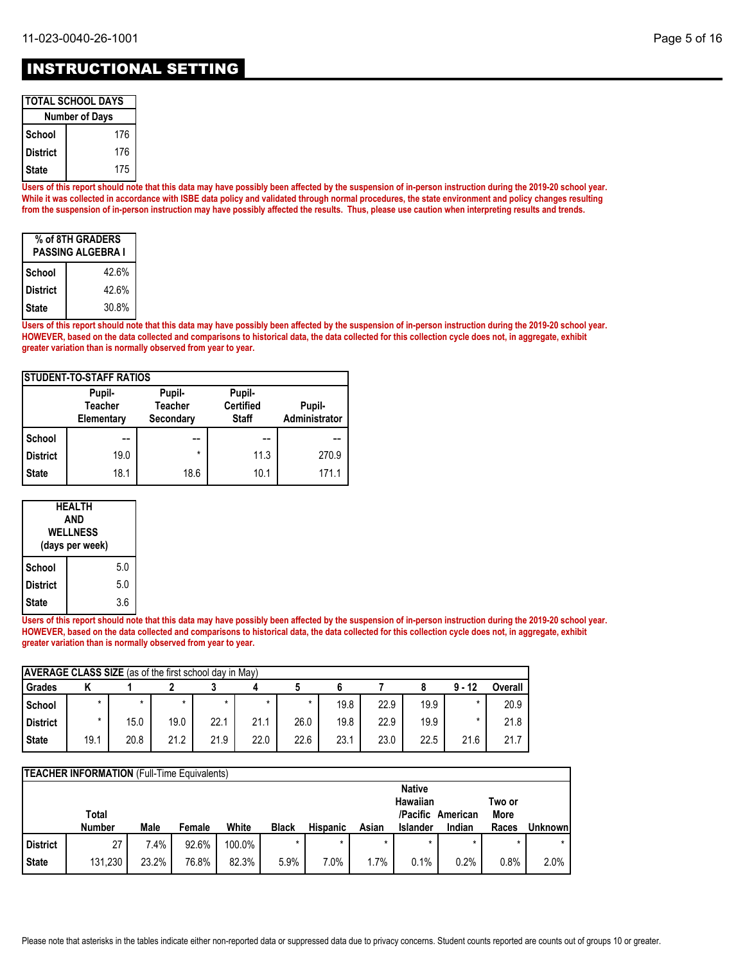## INSTRUCTIONAL SETTING

| <b>TOTAL SCHOOL DAYS</b> |     |  |  |  |  |  |  |
|--------------------------|-----|--|--|--|--|--|--|
| <b>Number of Days</b>    |     |  |  |  |  |  |  |
| School                   | 176 |  |  |  |  |  |  |
| District                 | 176 |  |  |  |  |  |  |
| 175<br>l State           |     |  |  |  |  |  |  |

**Users of this report should note that this data may have possibly been affected by the suspension of in-person instruction during the 2019-20 school year. While it was collected in accordance with ISBE data policy and validated through normal procedures, the state environment and policy changes resulting from the suspension of in-person instruction may have possibly affected the results. Thus, please use caution when interpreting results and trends.**

| % of 8TH GRADERS<br><b>PASSING ALGEBRA I</b> |       |  |  |  |  |  |  |
|----------------------------------------------|-------|--|--|--|--|--|--|
| School                                       | 42.6% |  |  |  |  |  |  |
| <b>District</b>                              | 42.6% |  |  |  |  |  |  |
| State                                        | 30.8% |  |  |  |  |  |  |

**Users of this report should note that this data may have possibly been affected by the suspension of in-person instruction during the 2019-20 school year. HOWEVER, based on the data collected and comparisons to historical data, the data collected for this collection cycle does not, in aggregate, exhibit greater variation than is normally observed from year to year.**

| <b>STUDENT-TO-STAFF RATIOS</b> |                                        |                                       |                                            |                         |  |  |  |  |  |  |
|--------------------------------|----------------------------------------|---------------------------------------|--------------------------------------------|-------------------------|--|--|--|--|--|--|
|                                | Pupil-<br><b>Teacher</b><br>Elementary | Pupil-<br><b>Teacher</b><br>Secondary | Pupil-<br><b>Certified</b><br><b>Staff</b> | Pupil-<br>Administrator |  |  |  |  |  |  |
| School                         | --                                     | --                                    | --                                         |                         |  |  |  |  |  |  |
| <b>District</b>                | 19.0                                   | $\star$                               | 11.3                                       | 270.9                   |  |  |  |  |  |  |
| <b>State</b>                   | 18.1                                   | 18.6                                  | 10.1                                       | 171.1                   |  |  |  |  |  |  |

| HEALTH<br>AND<br><b>WELLNESS</b><br>(days per week) |     |  |  |  |  |
|-----------------------------------------------------|-----|--|--|--|--|
| School                                              | 5.0 |  |  |  |  |
| <b>District</b>                                     | 5.0 |  |  |  |  |
| <b>State</b>                                        | 3.6 |  |  |  |  |

**Users of this report should note that this data may have possibly been affected by the suspension of in-person instruction during the 2019-20 school year. HOWEVER, based on the data collected and comparisons to historical data, the data collected for this collection cycle does not, in aggregate, exhibit greater variation than is normally observed from year to year.**

| <b>AVERAGE CLASS SIZE</b> (as of the first school day in May) |         |         |         |      |         |         |      |      |      |          |         |  |
|---------------------------------------------------------------|---------|---------|---------|------|---------|---------|------|------|------|----------|---------|--|
| Grades                                                        |         |         |         |      |         |         |      |      |      | $9 - 12$ | Overall |  |
| <b>School</b>                                                 | $\star$ | $\star$ | $\star$ |      | $\star$ | $\star$ | 19.8 | 22.9 | 19.9 |          | 20.9    |  |
| <b>District</b>                                               | $\star$ | 15.0    | 19.0    | 22.1 | 21.1    | 26.0    | 19.8 | 22.9 | 19.9 |          | 21.8    |  |
| <b>State</b>                                                  | 19.1    | 20.8    | 21.2    | 21.9 | 22.0    | 22.6    | 23.1 | 23.0 | 22.5 | 21.6     | 21.7    |  |

|                 | <b>TEACHER INFORMATION</b> (Full-Time Equivalents) |       |        |        |              |                 |       |                 |                   |        |          |  |
|-----------------|----------------------------------------------------|-------|--------|--------|--------------|-----------------|-------|-----------------|-------------------|--------|----------|--|
|                 |                                                    |       |        |        |              |                 |       | <b>Native</b>   |                   |        |          |  |
|                 |                                                    |       |        |        |              |                 |       | Hawaiian        |                   | Two or |          |  |
|                 | Total                                              |       |        |        |              |                 |       |                 | /Pacific American | More   |          |  |
|                 | <b>Number</b>                                      | Male  | Female | White  | <b>Black</b> | <b>Hispanic</b> | Asian | <b>Islander</b> | Indian            | Races  | Unknownl |  |
| <b>District</b> | 27                                                 | 7.4%  | 92.6%  | 100.0% | $\star$      | $\star$         |       | $\star$         |                   |        |          |  |
| <b>State</b>    | 131,230                                            | 23.2% | 76.8%  | 82.3%  | 5.9%         | 7.0%            | 1.7%  | 0.1%            | 0.2%              | 0.8%   | 2.0%     |  |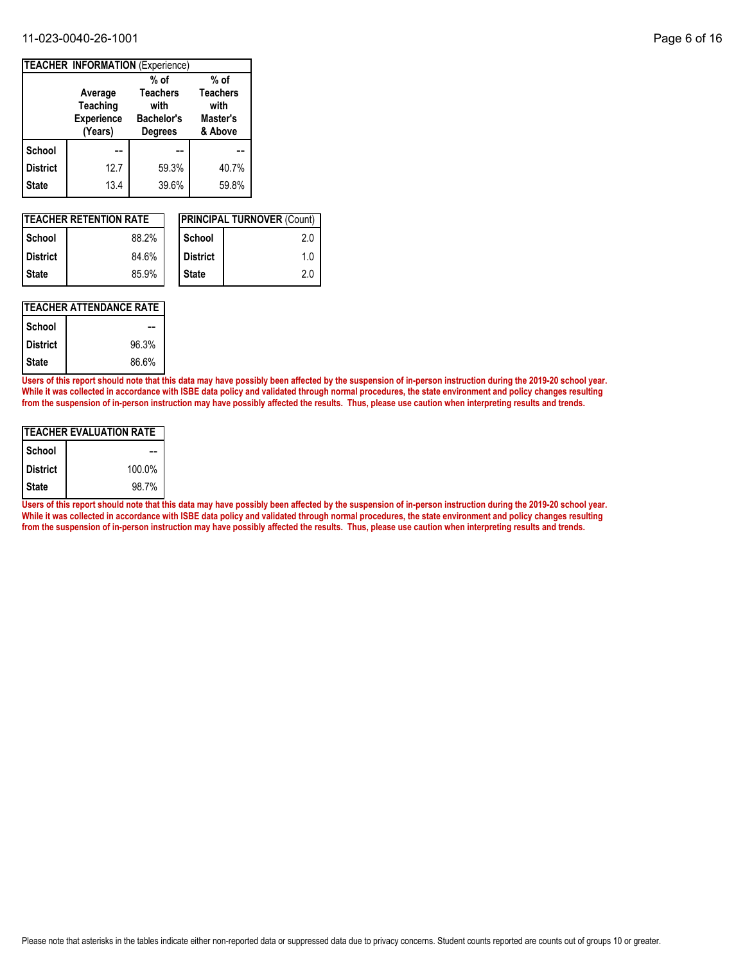### 11-023-0040-26-1001 Page 6 of 16

|                 | <b>TEACHER INFORMATION (Experience)</b>                    |                                                                |                                                |
|-----------------|------------------------------------------------------------|----------------------------------------------------------------|------------------------------------------------|
|                 |                                                            | $%$ of                                                         | $%$ of                                         |
|                 | Average<br><b>Teaching</b><br><b>Experience</b><br>(Years) | <b>Teachers</b><br>with<br><b>Bachelor's</b><br><b>Degrees</b> | <b>Teachers</b><br>with<br>Master's<br>& Above |
| <b>School</b>   |                                                            |                                                                |                                                |
| <b>District</b> | 12.7                                                       | 59.3%                                                          | 40.7%                                          |
| <b>State</b>    | 13.4                                                       | 39.6%                                                          | 59.8%                                          |

|                 | <b>ITEACHER RETENTION RATE</b> |                 | <b>IPRINCIPAL TURNOVER (Count)</b> |
|-----------------|--------------------------------|-----------------|------------------------------------|
| l School        | 88.2%                          | School          | 2.0                                |
| <b>District</b> | 84.6%                          | <b>District</b> | 1.0                                |
| l State         | 85.9%                          | <b>State</b>    | 2.0                                |

### **TEACHER ATTENDANCE RATE**

| School          |       |
|-----------------|-------|
| <b>District</b> | 96.3% |
| <b>State</b>    | 86.6% |

**Users of this report should note that this data may have possibly been affected by the suspension of in-person instruction during the 2019-20 school year. While it was collected in accordance with ISBE data policy and validated through normal procedures, the state environment and policy changes resulting from the suspension of in-person instruction may have possibly affected the results. Thus, please use caution when interpreting results and trends.**

| ITEACHER EVALUATION RATE |        |  |  |  |  |  |  |
|--------------------------|--------|--|--|--|--|--|--|
| School                   |        |  |  |  |  |  |  |
| <b>District</b>          | 100.0% |  |  |  |  |  |  |
| <b>State</b>             | 98.7%  |  |  |  |  |  |  |

**Users of this report should note that this data may have possibly been affected by the suspension of in-person instruction during the 2019-20 school year. While it was collected in accordance with ISBE data policy and validated through normal procedures, the state environment and policy changes resulting from the suspension of in-person instruction may have possibly affected the results. Thus, please use caution when interpreting results and trends.**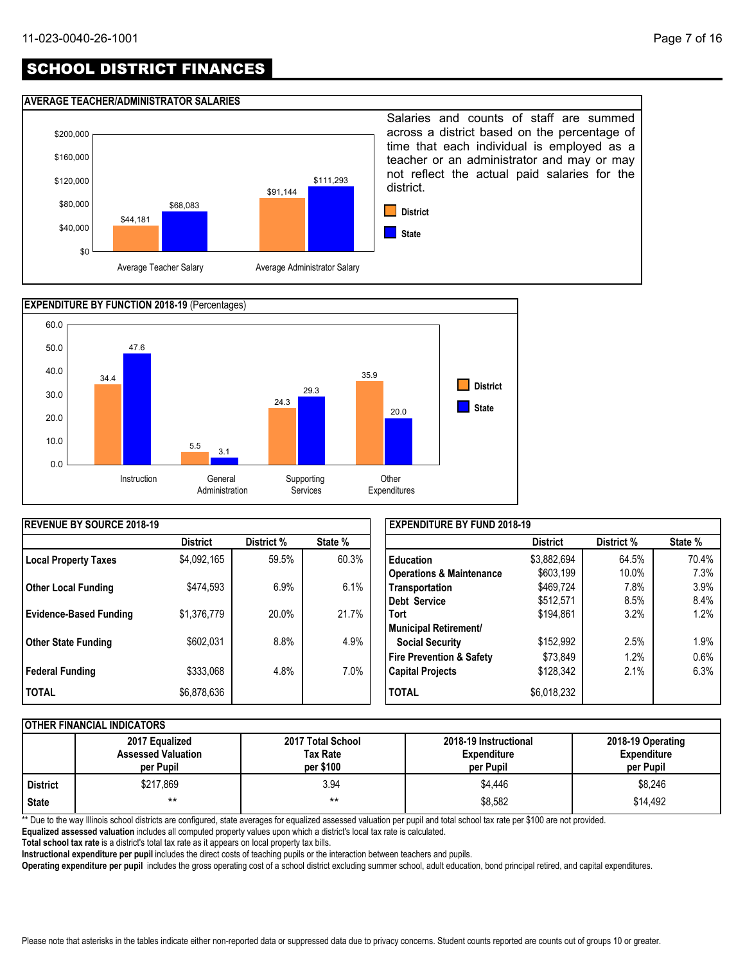# SCHOOL DISTRICT FINANCES

### **AVERAGE TEACHER/ADMINISTRATOR SALARIES**





| <b>IREVENUE BY SOURCE 2018-19</b> |                 |            |         | <b>EXPENDITURE BY FUND 2018-19</b>  |                 |            |         |
|-----------------------------------|-----------------|------------|---------|-------------------------------------|-----------------|------------|---------|
|                                   | <b>District</b> | District % | State % |                                     | <b>District</b> | District % | State % |
| <b>Local Property Taxes</b>       | \$4,092,165     | 59.5%      | 60.3%   | l Education                         | \$3,882,694     | 64.5%      | 70.4%   |
|                                   |                 |            |         | <b>Operations &amp; Maintenance</b> | \$603,199       | 10.0%      | 7.3%    |
| <b>Other Local Funding</b>        | \$474,593       | 6.9%       | 6.1%    | Transportation                      | \$469,724       | 7.8%       | 3.9%    |
|                                   |                 |            |         | Debt Service                        | \$512,571       | 8.5%       | 8.4%    |
| <b>Evidence-Based Funding</b>     | \$1,376,779     | 20.0%      | 21.7%   | Tort                                | \$194,861       | 3.2%       | 1.2%    |
|                                   |                 |            |         | Municipal Retirement/               |                 |            |         |
| <b>Other State Funding</b>        | \$602,031       | 8.8%       | 4.9%    | <b>Social Security</b>              | \$152,992       | 2.5%       | 1.9%    |
|                                   |                 |            |         | <b>Fire Prevention &amp; Safety</b> | \$73,849        | $1.2\%$    | 0.6%    |
| <b>Federal Funding</b>            | \$333,068       | 4.8%       | 7.0%    | <b>Capital Projects</b>             | \$128,342       | 2.1%       | 6.3%    |
| <b>TOTAL</b>                      | \$6,878,636     |            |         | <b>TOTAL</b>                        | \$6,018,232     |            |         |

### **OTHER FINANCIAL INDICATORS**

|            | 2017 Equalized<br><b>Assessed Valuation</b><br>per Pupil | 2017 Total School<br>Tax Rate<br>per \$100 | 2018-19 Instructional<br><b>Expenditure</b><br>per Pupil | 2018-19 Operating<br><b>Expenditure</b><br>per Pupil |
|------------|----------------------------------------------------------|--------------------------------------------|----------------------------------------------------------|------------------------------------------------------|
| l District | \$217,869                                                | 3.94                                       | \$4,446                                                  | \$8,246                                              |
| State      | $***$                                                    | $***$                                      | \$8,582                                                  | \$14.492                                             |

\*\* Due to the way Illinois school districts are configured, state averages for equalized assessed valuation per pupil and total school tax rate per \$100 are not provided.

**Equalized assessed valuation** includes all computed property values upon which a district's local tax rate is calculated.

**Total school tax rate** is a district's total tax rate as it appears on local property tax bills.

**Instructional expenditure per pupil** includes the direct costs of teaching pupils or the interaction between teachers and pupils.

**Operating expenditure per pupil** includes the gross operating cost of a school district excluding summer school, adult education, bond principal retired, and capital expenditures.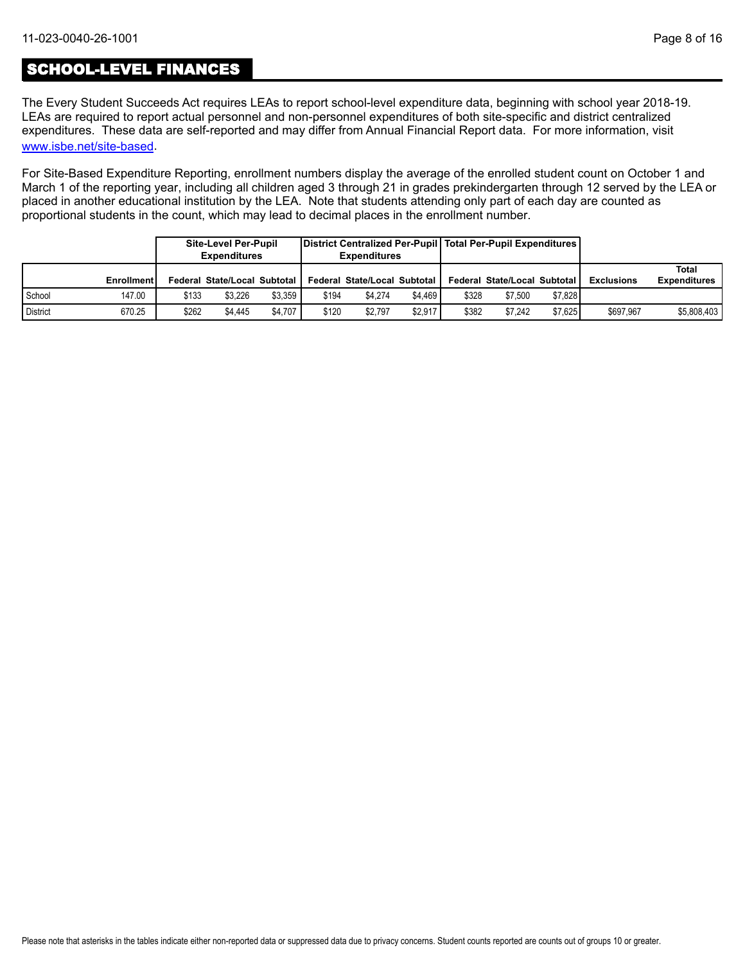# SCHOOL-LEVEL FINANCES

[www.isbe.net/site-based](https://www.isbe.net/site-based). The Every Student Succeeds Act requires LEAs to report school-level expenditure data, beginning with school year 2018-19. LEAs are required to report actual personnel and non-personnel expenditures of both site-specific and district centralized expenditures. These data are self-reported and may differ from Annual Financial Report data. For more information, visit

For Site-Based Expenditure Reporting, enrollment numbers display the average of the enrolled student count on October 1 and March 1 of the reporting year, including all children aged 3 through 21 in grades prekindergarten through 12 served by the LEA or placed in another educational institution by the LEA. Note that students attending only part of each day are counted as proportional students in the count, which may lead to decimal places in the enrollment number.

|                 |                   |       | District Centralized Per-Pupil   Total Per-Pupil Expenditures  <br><b>Site-Level Per-Pupil</b><br><b>Expenditures</b><br><b>Expenditures</b> |         |       |                                     |         |       |                                       |         |                   |                              |
|-----------------|-------------------|-------|----------------------------------------------------------------------------------------------------------------------------------------------|---------|-------|-------------------------------------|---------|-------|---------------------------------------|---------|-------------------|------------------------------|
|                 | <b>Enrollment</b> |       | Federal State/Local Subtotal I                                                                                                               |         |       | <b>Federal State/Local Subtotal</b> |         |       | <b>Federal State/Local Subtotal I</b> |         | <b>Exclusions</b> | Total<br><b>Expenditures</b> |
| School          | 147.00            | \$133 | \$3.226                                                                                                                                      | \$3.359 | \$194 | \$4.274                             | \$4.469 | \$328 | \$7.500                               | \$7.828 |                   |                              |
| <b>District</b> | 670.25            | \$262 | \$4.445                                                                                                                                      | \$4.707 | \$120 | \$2.797                             | \$2.917 | \$382 | \$7.242                               | \$7.625 | \$697.967         | \$5,808,403                  |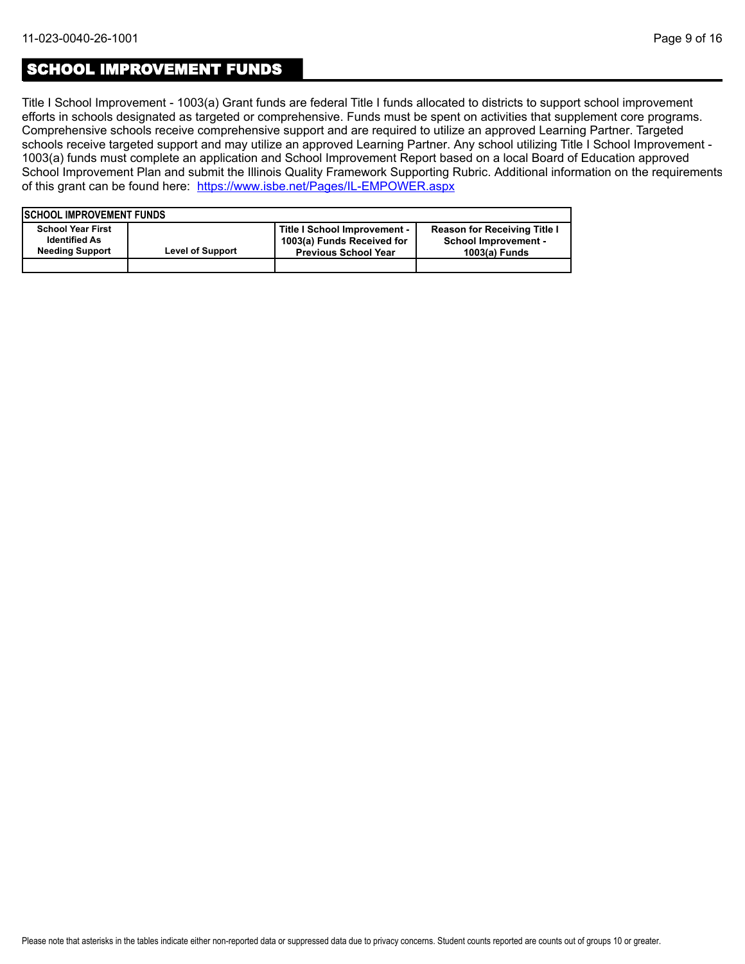## SCHOOL IMPROVEMENT FUNDS

Title I School Improvement - 1003(a) Grant funds are federal Title I funds allocated to districts to support school improvement efforts in schools designated as targeted or comprehensive. Funds must be spent on activities that supplement core programs. Comprehensive schools receive comprehensive support and are required to utilize an approved Learning Partner. Targeted schools receive targeted support and may utilize an approved Learning Partner. Any school utilizing Title I School Improvement - 1003(a) funds must complete an application and School Improvement Report based on a local Board of Education approved School Improvement Plan and submit the Illinois Quality Framework Supporting Rubric. Additional information on the requirements of this grant can be found here:<https://www.isbe.net/Pages/IL-EMPOWER.aspx>

| <b>ISCHOOL IMPROVEMENT FUNDS</b>                                           |                         |                                                                                           |                                                                                     |
|----------------------------------------------------------------------------|-------------------------|-------------------------------------------------------------------------------------------|-------------------------------------------------------------------------------------|
| <b>School Year First</b><br><b>Identified As</b><br><b>Needing Support</b> | <b>Level of Support</b> | Title I School Improvement -<br>1003(a) Funds Received for<br><b>Previous School Year</b> | <b>Reason for Receiving Title I</b><br><b>School Improvement -</b><br>1003(a) Funds |
|                                                                            |                         |                                                                                           |                                                                                     |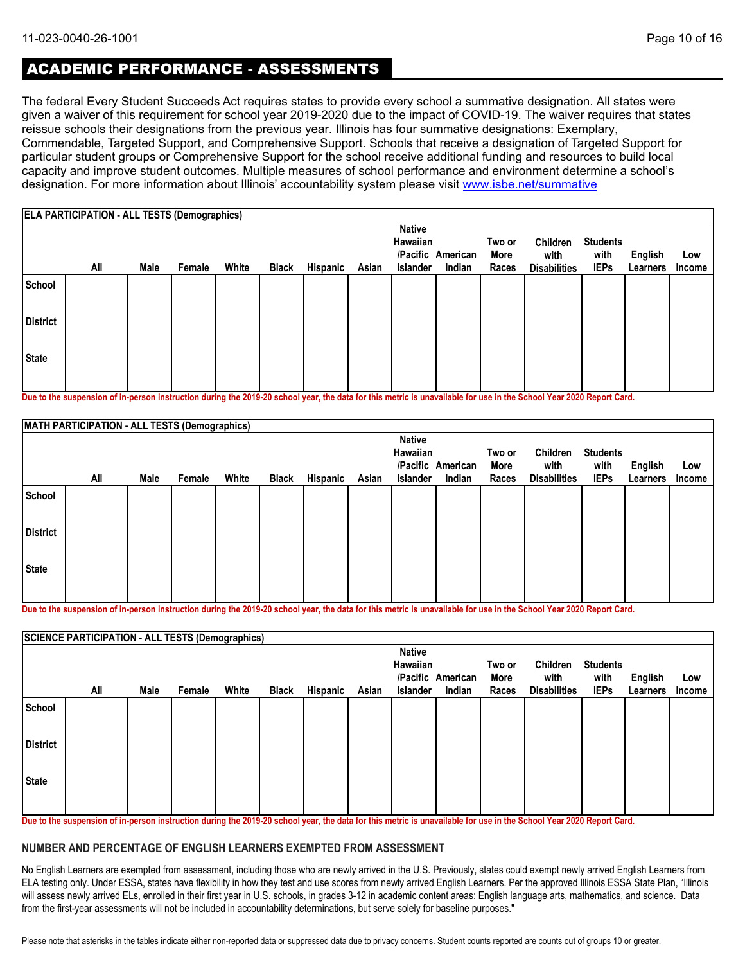# ACADEMIC PERFORMANCE - ASSESSMENTS

The federal Every Student Succeeds Act requires states to provide every school a summative designation. All states were given a waiver of this requirement for school year 2019-2020 due to the impact of COVID-19. The waiver requires that states reissue schools their designations from the previous year. Illinois has four summative designations: Exemplary, Commendable, Targeted Support, and Comprehensive Support. Schools that receive a designation of Targeted Support for particular student groups or Comprehensive Support for the school receive additional funding and resources to build local capacity and improve student outcomes. Multiple measures of school performance and environment determine a school's designation. For more information about Illinois' accountability system please visit [www.isbe.net/summative](http://www.isbe.net/summative)

|                 | <b>ELA PARTICIPATION - ALL TESTS (Demographics)</b> |      |        |       |              |          |       |                                              |                             |                         |                                         |                                        |                            |                      |
|-----------------|-----------------------------------------------------|------|--------|-------|--------------|----------|-------|----------------------------------------------|-----------------------------|-------------------------|-----------------------------------------|----------------------------------------|----------------------------|----------------------|
|                 | All                                                 | Male | Female | White | <b>Black</b> | Hispanic | Asian | <b>Native</b><br>Hawaiian<br><b>Islander</b> | /Pacific American<br>Indian | Two or<br>More<br>Races | Children<br>with<br><b>Disabilities</b> | <b>Students</b><br>with<br><b>IEPs</b> | <b>English</b><br>Learners | Low<br><b>Income</b> |
| School          |                                                     |      |        |       |              |          |       |                                              |                             |                         |                                         |                                        |                            |                      |
| <b>District</b> |                                                     |      |        |       |              |          |       |                                              |                             |                         |                                         |                                        |                            |                      |
| <b>State</b>    |                                                     |      |        |       |              |          |       |                                              |                             |                         |                                         |                                        |                            |                      |

**Due to the suspension of in-person instruction during the 2019-20 school year, the data for this metric is unavailable for use in the School Year 2020 Report Card.**

|                 | MATH PARTICIPATION - ALL TESTS (Demographics) |      |        |       |              |          |       |                           |                   |        |                     |                 |          |        |
|-----------------|-----------------------------------------------|------|--------|-------|--------------|----------|-------|---------------------------|-------------------|--------|---------------------|-----------------|----------|--------|
|                 |                                               |      |        |       |              |          |       | <b>Native</b><br>Hawaiian |                   | Two or | Children            | <b>Students</b> |          |        |
|                 |                                               |      |        |       |              |          |       |                           | /Pacific American | More   | with                | with            | English  | Low    |
|                 | All                                           | Male | Female | White | <b>Black</b> | Hispanic | Asian | Islander                  | Indian            | Races  | <b>Disabilities</b> | <b>IEPs</b>     | Learners | Income |
| School          |                                               |      |        |       |              |          |       |                           |                   |        |                     |                 |          |        |
| <b>District</b> |                                               |      |        |       |              |          |       |                           |                   |        |                     |                 |          |        |
| State           |                                               |      |        |       |              |          |       |                           |                   |        |                     |                 |          |        |
|                 |                                               |      |        |       |              |          |       |                           |                   |        |                     |                 |          |        |

**Due to the suspension of in-person instruction during the 2019-20 school year, the data for this metric is unavailable for use in the School Year 2020 Report Card.**

|                 | <b>SCIENCE PARTICIPATION - ALL TESTS (Demographics)</b> |      |        |       |              |          |       |                           |                   |        |                     |                 |          |        |
|-----------------|---------------------------------------------------------|------|--------|-------|--------------|----------|-------|---------------------------|-------------------|--------|---------------------|-----------------|----------|--------|
|                 |                                                         |      |        |       |              |          |       | <b>Native</b><br>Hawaiian |                   | Two or | Children            | <b>Students</b> |          |        |
|                 |                                                         |      |        |       |              |          |       |                           | /Pacific American | More   | with                | with            | English  | Low    |
|                 | All                                                     | Male | Female | White | <b>Black</b> | Hispanic | Asian | <b>Islander</b>           | Indian            | Races  | <b>Disabilities</b> | <b>IEPs</b>     | Learners | Income |
| School          |                                                         |      |        |       |              |          |       |                           |                   |        |                     |                 |          |        |
| <b>District</b> |                                                         |      |        |       |              |          |       |                           |                   |        |                     |                 |          |        |
| <b>State</b>    |                                                         |      |        |       |              |          |       |                           |                   |        |                     |                 |          |        |
|                 |                                                         |      |        |       |              |          |       |                           |                   |        |                     |                 |          |        |

**Due to the suspension of in-person instruction during the 2019-20 school year, the data for this metric is unavailable for use in the School Year 2020 Report Card.**

#### **NUMBER AND PERCENTAGE OF ENGLISH LEARNERS EXEMPTED FROM ASSESSMENT**

No English Learners are exempted from assessment, including those who are newly arrived in the U.S. Previously, states could exempt newly arrived English Learners from ELA testing only. Under ESSA, states have flexibility in how they test and use scores from newly arrived English Learners. Per the approved Illinois ESSA State Plan, "Illinois will assess newly arrived ELs, enrolled in their first year in U.S. schools, in grades 3-12 in academic content areas: English language arts, mathematics, and science. Data from the first-year assessments will not be included in accountability determinations, but serve solely for baseline purposes."

Please note that asterisks in the tables indicate either non-reported data or suppressed data due to privacy concerns. Student counts reported are counts out of groups 10 or greater.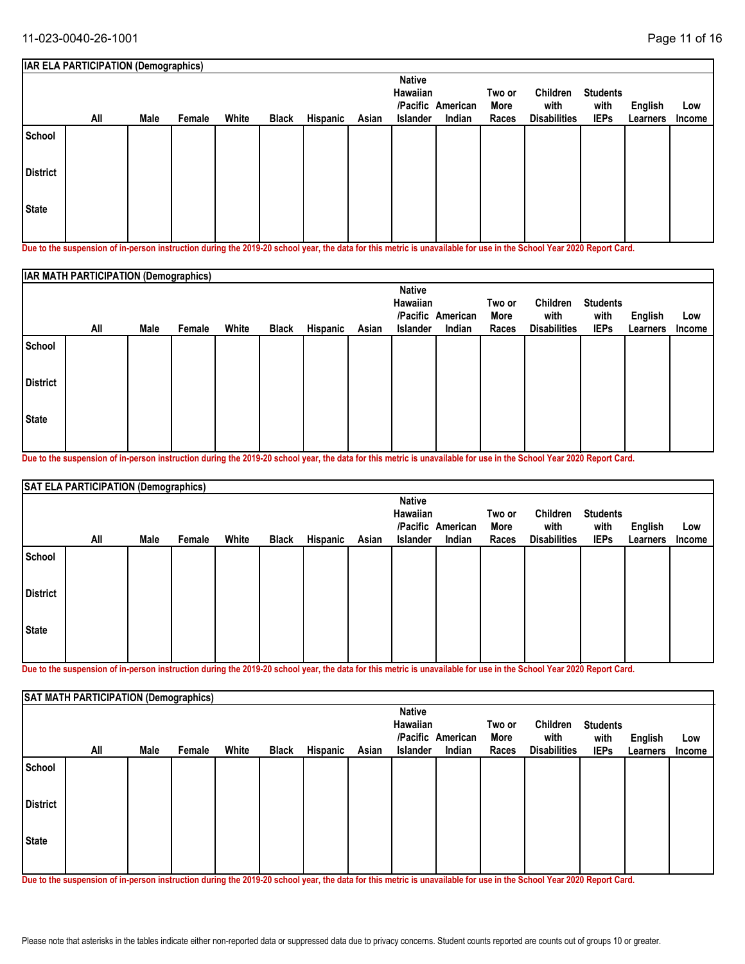|                 | <b>IAR ELA PARTICIPATION (Demographics)</b>                                                                                                                |      |        |       |              |          |       |                                              |                             |                         |                                         |                                        |                     |               |
|-----------------|------------------------------------------------------------------------------------------------------------------------------------------------------------|------|--------|-------|--------------|----------|-------|----------------------------------------------|-----------------------------|-------------------------|-----------------------------------------|----------------------------------------|---------------------|---------------|
|                 | All                                                                                                                                                        | Male | Female | White | <b>Black</b> | Hispanic | Asian | <b>Native</b><br>Hawaiian<br><b>Islander</b> | /Pacific American<br>Indian | Two or<br>More<br>Races | Children<br>with<br><b>Disabilities</b> | <b>Students</b><br>with<br><b>IEPs</b> | English<br>Learners | Low<br>Income |
| School          |                                                                                                                                                            |      |        |       |              |          |       |                                              |                             |                         |                                         |                                        |                     |               |
| <b>District</b> |                                                                                                                                                            |      |        |       |              |          |       |                                              |                             |                         |                                         |                                        |                     |               |
| State           |                                                                                                                                                            |      |        |       |              |          |       |                                              |                             |                         |                                         |                                        |                     |               |
|                 | Dua ta tha ananantan af in naman inaturatiwa dimina tha 9040.90 aghaal wan tha data farthis matuja in manailahla farma in tha Cabaal Vaau 9090 Danaut Caud |      |        |       |              |          |       |                                              |                             |                         |                                         |                                        |                     |               |

**Due to the suspension of in-person instruction during the 2019-20 school year, the data for this metric is unavailable for use in the School Year 2020 Report Card.**

|                 | <b>IAR MATH PARTICIPATION (Demographics)</b> |      |        |       |       |          |       |                           |                   |                |                     |                         |                |               |
|-----------------|----------------------------------------------|------|--------|-------|-------|----------|-------|---------------------------|-------------------|----------------|---------------------|-------------------------|----------------|---------------|
|                 |                                              |      |        |       |       |          |       | <b>Native</b><br>Hawaiian | /Pacific American | Two or<br>More | Children<br>with    | <b>Students</b><br>with | <b>English</b> | Low           |
|                 | All                                          | Male | Female | White | Black | Hispanic | Asian | Islander                  | Indian            | Races          | <b>Disabilities</b> | <b>IEPs</b>             | Learners       | <b>Income</b> |
| School          |                                              |      |        |       |       |          |       |                           |                   |                |                     |                         |                |               |
| <b>District</b> |                                              |      |        |       |       |          |       |                           |                   |                |                     |                         |                |               |
| <b>State</b>    |                                              |      |        |       |       |          |       |                           |                   |                |                     |                         |                |               |

**Due to the suspension of in-person instruction during the 2019-20 school year, the data for this metric is unavailable for use in the School Year 2020 Report Card.**

|                 | SAT ELA PARTICIPATION (Demographics) |      |        |       |       |          |       |                                       |                             |                         |                                         |                                        |                     |               |
|-----------------|--------------------------------------|------|--------|-------|-------|----------|-------|---------------------------------------|-----------------------------|-------------------------|-----------------------------------------|----------------------------------------|---------------------|---------------|
|                 | All                                  | Male | Female | White | Black | Hispanic | Asian | <b>Native</b><br>Hawaiian<br>Islander | /Pacific American<br>Indian | Two or<br>More<br>Races | Children<br>with<br><b>Disabilities</b> | <b>Students</b><br>with<br><b>IEPs</b> | English<br>Learners | Low<br>Income |
| School          |                                      |      |        |       |       |          |       |                                       |                             |                         |                                         |                                        |                     |               |
| <b>District</b> |                                      |      |        |       |       |          |       |                                       |                             |                         |                                         |                                        |                     |               |
| <b>State</b>    |                                      |      |        |       |       |          |       |                                       |                             |                         |                                         |                                        |                     |               |

**Due to the suspension of in-person instruction during the 2019-20 school year, the data for this metric is unavailable for use in the School Year 2020 Report Card.**

|                 | SAT MATH PARTICIPATION (Demographics) |      |        |       |              |          |       |                                       |                             |                         |                                         |                                        |                            |               |
|-----------------|---------------------------------------|------|--------|-------|--------------|----------|-------|---------------------------------------|-----------------------------|-------------------------|-----------------------------------------|----------------------------------------|----------------------------|---------------|
|                 | All                                   | Male | Female | White | <b>Black</b> | Hispanic | Asian | <b>Native</b><br>Hawaiian<br>Islander | /Pacific American<br>Indian | Two or<br>More<br>Races | Children<br>with<br><b>Disabilities</b> | <b>Students</b><br>with<br><b>IEPs</b> | <b>English</b><br>Learners | Low<br>Income |
| School          |                                       |      |        |       |              |          |       |                                       |                             |                         |                                         |                                        |                            |               |
| <b>District</b> |                                       |      |        |       |              |          |       |                                       |                             |                         |                                         |                                        |                            |               |
| <b>State</b>    |                                       |      |        |       |              |          |       |                                       |                             |                         |                                         |                                        |                            |               |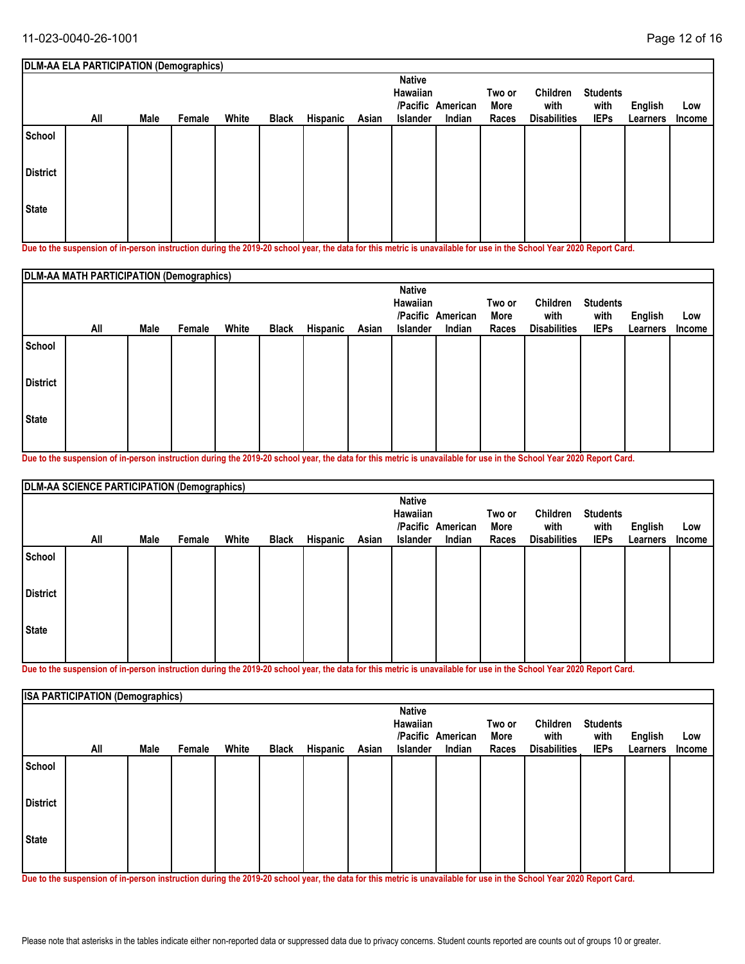|                 | DLM-AA ELA PARTICIPATION (Demographics)                                                                                                                    |      |        |       |              |          |       |                                                          |                    |                         |                                         |                                        |                     |               |
|-----------------|------------------------------------------------------------------------------------------------------------------------------------------------------------|------|--------|-------|--------------|----------|-------|----------------------------------------------------------|--------------------|-------------------------|-----------------------------------------|----------------------------------------|---------------------|---------------|
|                 | All                                                                                                                                                        | Male | Female | White | <b>Black</b> | Hispanic | Asian | <b>Native</b><br>Hawaiian<br>/Pacific<br><b>Islander</b> | American<br>Indian | Two or<br>More<br>Races | Children<br>with<br><b>Disabilities</b> | <b>Students</b><br>with<br><b>IEPs</b> | English<br>Learners | Low<br>Income |
| School          |                                                                                                                                                            |      |        |       |              |          |       |                                                          |                    |                         |                                         |                                        |                     |               |
| <b>District</b> |                                                                                                                                                            |      |        |       |              |          |       |                                                          |                    |                         |                                         |                                        |                     |               |
| l State         |                                                                                                                                                            |      |        |       |              |          |       |                                                          |                    |                         |                                         |                                        |                     |               |
|                 | Dua ta tha ananantan af in naman inaturatiwa dimina tha 9040.90 aghaal wan tha data farthis matuja in manailahla farma in tha Cabaal Vaau 9090 Danaut Caud |      |        |       |              |          |       |                                                          |                    |                         |                                         |                                        |                     |               |

**Due to the suspension of in-person instruction during the 2019-20 school year, the data for this metric is unavailable for use in the School Year 2020 Report Card.**

|                 | DLM-AA MATH PARTICIPATION (Demographics) |      |        |       |              |          |       |                                              |                             |                         |                                         |                                        |                            |                      |
|-----------------|------------------------------------------|------|--------|-------|--------------|----------|-------|----------------------------------------------|-----------------------------|-------------------------|-----------------------------------------|----------------------------------------|----------------------------|----------------------|
|                 | All                                      | Male | Female | White | <b>Black</b> | Hispanic | Asian | <b>Native</b><br>Hawaiian<br><b>Islander</b> | /Pacific American<br>Indian | Two or<br>More<br>Races | Children<br>with<br><b>Disabilities</b> | <b>Students</b><br>with<br><b>IEPs</b> | <b>English</b><br>Learners | Low<br><b>Income</b> |
| School          |                                          |      |        |       |              |          |       |                                              |                             |                         |                                         |                                        |                            |                      |
| <b>District</b> |                                          |      |        |       |              |          |       |                                              |                             |                         |                                         |                                        |                            |                      |
| <b>State</b>    |                                          |      |        |       |              |          |       |                                              |                             |                         |                                         |                                        |                            |                      |

**Due to the suspension of in-person instruction during the 2019-20 school year, the data for this metric is unavailable for use in the School Year 2020 Report Card.**

|                 | DLM-AA SCIENCE PARTICIPATION (Demographics) |      |        |       |       |          |       |                 |                   |        |                     |                 |          |        |
|-----------------|---------------------------------------------|------|--------|-------|-------|----------|-------|-----------------|-------------------|--------|---------------------|-----------------|----------|--------|
|                 |                                             |      |        |       |       |          |       | <b>Native</b>   |                   |        |                     |                 |          |        |
|                 |                                             |      |        |       |       |          |       | Hawaiian        |                   | Two or | Children            | <b>Students</b> |          |        |
|                 |                                             |      |        |       |       |          |       |                 | /Pacific American | More   | with                | with            | English  | Low    |
|                 | All                                         | Male | Female | White | Black | Hispanic | Asian | <b>Islander</b> | Indian            | Races  | <b>Disabilities</b> | <b>IEPs</b>     | Learners | Income |
| School          |                                             |      |        |       |       |          |       |                 |                   |        |                     |                 |          |        |
| <b>District</b> |                                             |      |        |       |       |          |       |                 |                   |        |                     |                 |          |        |
| <b>State</b>    |                                             |      |        |       |       |          |       |                 |                   |        |                     |                 |          |        |
|                 |                                             |      |        |       |       |          |       |                 |                   |        |                     |                 |          |        |

**Due to the suspension of in-person instruction during the 2019-20 school year, the data for this metric is unavailable for use in the School Year 2020 Report Card.**

|                 | <b>ISA PARTICIPATION (Demographics)</b> |      |        |       |              |          |       |                                       |                             |                         |                                         |                                        |                            |               |
|-----------------|-----------------------------------------|------|--------|-------|--------------|----------|-------|---------------------------------------|-----------------------------|-------------------------|-----------------------------------------|----------------------------------------|----------------------------|---------------|
|                 | All                                     | Male | Female | White | <b>Black</b> | Hispanic | Asian | <b>Native</b><br>Hawaiian<br>Islander | /Pacific American<br>Indian | Two or<br>More<br>Races | Children<br>with<br><b>Disabilities</b> | <b>Students</b><br>with<br><b>IEPs</b> | <b>English</b><br>Learners | Low<br>Income |
| School          |                                         |      |        |       |              |          |       |                                       |                             |                         |                                         |                                        |                            |               |
| <b>District</b> |                                         |      |        |       |              |          |       |                                       |                             |                         |                                         |                                        |                            |               |
| State           |                                         |      |        |       |              |          |       |                                       |                             |                         |                                         |                                        |                            |               |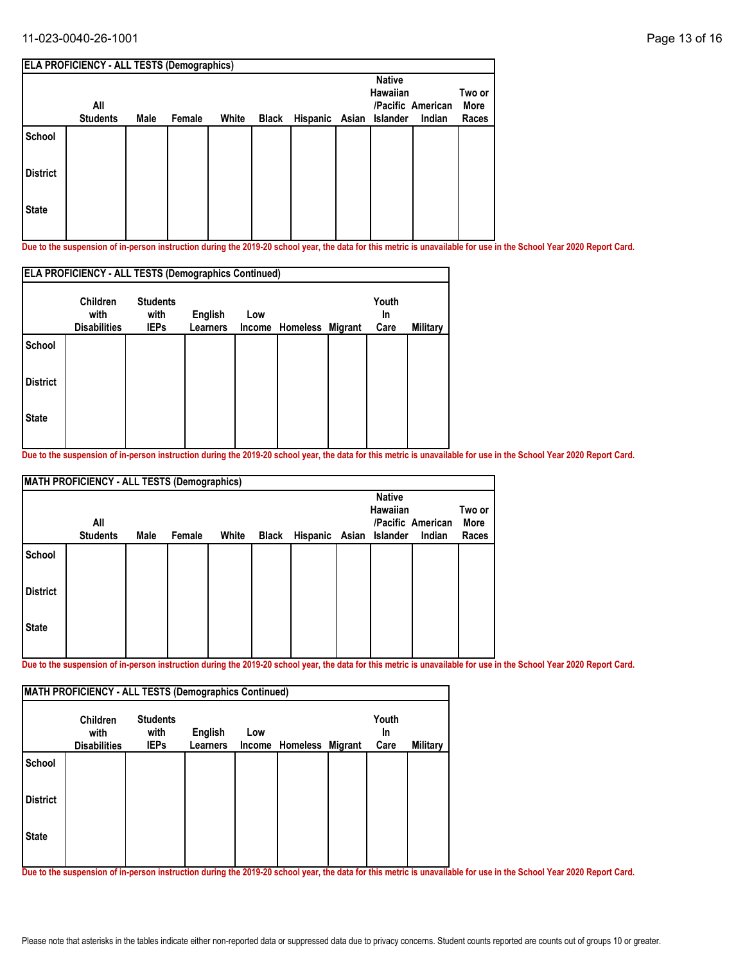#### 11-023-0040-26-1001 Page 13 of 16

| <b>ELA PROFICIENCY - ALL TESTS (Demographics)</b> |                 |      |        |       |              |  |                |                      |                             |  |  |
|---------------------------------------------------|-----------------|------|--------|-------|--------------|--|----------------|----------------------|-----------------------------|--|--|
| All                                               |                 |      |        |       |              |  | <b>Native</b>  |                      | Two or<br>More<br>Races     |  |  |
|                                                   |                 |      |        |       |              |  |                |                      |                             |  |  |
|                                                   |                 |      |        |       |              |  |                |                      |                             |  |  |
|                                                   |                 |      |        |       |              |  |                |                      |                             |  |  |
|                                                   |                 |      |        |       |              |  |                |                      |                             |  |  |
|                                                   | <b>Students</b> | Male | Female | White | <b>Black</b> |  | Hispanic Asian | Hawaiian<br>Islander | /Pacific American<br>Indian |  |  |

**Due to the suspension of in-person instruction during the 2019-20 school year, the data for this metric is unavailable for use in the School Year 2020 Report Card.**

|                 | <b>ELA PROFICIENCY - ALL TESTS (Demographics Continued)</b> |                                        |                                   |               |                  |                     |                 |
|-----------------|-------------------------------------------------------------|----------------------------------------|-----------------------------------|---------------|------------------|---------------------|-----------------|
|                 | <b>Children</b><br>with<br><b>Disabilities</b>              | <b>Students</b><br>with<br><b>IEPs</b> | <b>English</b><br><b>Learners</b> | Low<br>Income | Homeless Migrant | Youth<br>In<br>Care | <b>Military</b> |
| <b>School</b>   |                                                             |                                        |                                   |               |                  |                     |                 |
| <b>District</b> |                                                             |                                        |                                   |               |                  |                     |                 |
| <b>State</b>    |                                                             |                                        |                                   |               |                  |                     |                 |
|                 |                                                             |                                        |                                   |               |                  |                     |                 |

**Due to the suspension of in-person instruction during the 2019-20 school year, the data for this metric is unavailable for use in the School Year 2020 Report Card.**

| <b>MATH PROFICIENCY - ALL TESTS (Demographics)</b> |                 |      |        |       |  |  |               |                                           |                             |  |  |  |
|----------------------------------------------------|-----------------|------|--------|-------|--|--|---------------|-------------------------------------------|-----------------------------|--|--|--|
| All                                                |                 |      |        |       |  |  | <b>Native</b> |                                           | Two or<br>More              |  |  |  |
|                                                    |                 |      |        |       |  |  |               |                                           | Races                       |  |  |  |
|                                                    |                 |      |        |       |  |  |               |                                           |                             |  |  |  |
|                                                    |                 |      |        |       |  |  |               |                                           |                             |  |  |  |
|                                                    |                 |      |        |       |  |  |               |                                           |                             |  |  |  |
|                                                    | <b>Students</b> | Male | Female | White |  |  |               | Hawaiian<br>Black Hispanic Asian Islander | /Pacific American<br>Indian |  |  |  |

**Due to the suspension of in-person instruction during the 2019-20 school year, the data for this metric is unavailable for use in the School Year 2020 Report Card.**

|                 | <b>Children</b><br>with | <b>Students</b><br>with | English         | Low |                         | Youth<br>In. |          |
|-----------------|-------------------------|-------------------------|-----------------|-----|-------------------------|--------------|----------|
|                 | <b>Disabilities</b>     | <b>IEPs</b>             | <b>Learners</b> |     | Income Homeless Migrant | Care         | Military |
| School          |                         |                         |                 |     |                         |              |          |
| <b>District</b> |                         |                         |                 |     |                         |              |          |
| <b>State</b>    |                         |                         |                 |     |                         |              |          |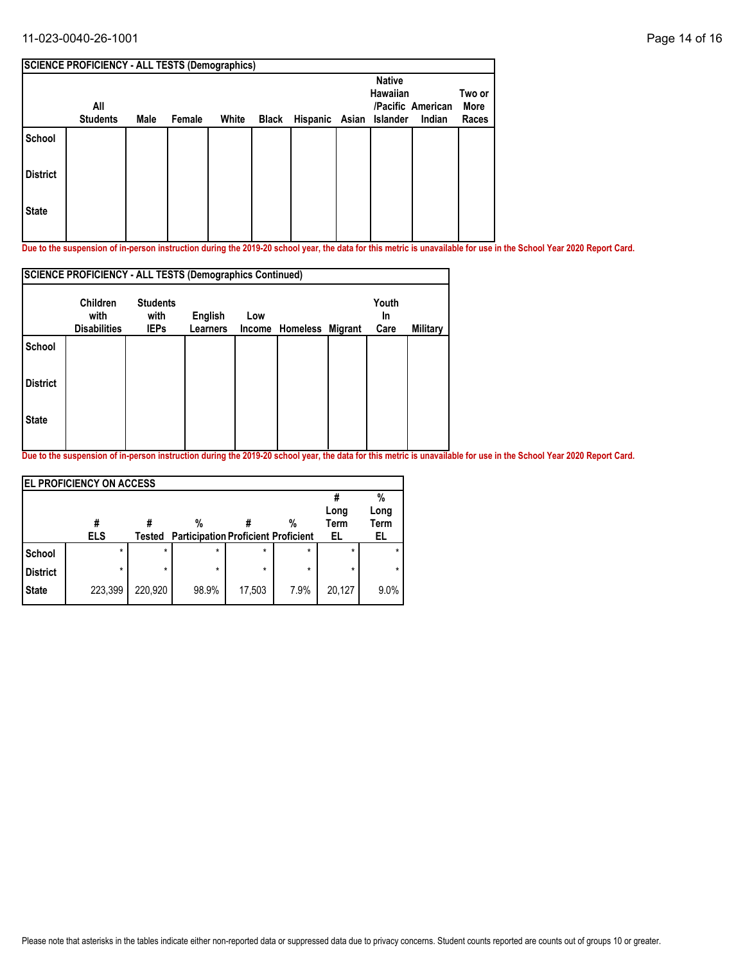### 11-023-0040-26-1001 Page 14 of 16

|                 |                        | <b>SCIENCE PROFICIENCY - ALL TESTS (Demographics)</b> |        |       |       |                         |  |                                  |                             |                         |  |  |  |  |
|-----------------|------------------------|-------------------------------------------------------|--------|-------|-------|-------------------------|--|----------------------------------|-----------------------------|-------------------------|--|--|--|--|
|                 | All<br><b>Students</b> | Male                                                  | Female | White | Black | Hispanic Asian Islander |  | <b>Native</b><br><b>Hawaiian</b> | /Pacific American<br>Indian | Two or<br>More<br>Races |  |  |  |  |
| School          |                        |                                                       |        |       |       |                         |  |                                  |                             |                         |  |  |  |  |
| <b>District</b> |                        |                                                       |        |       |       |                         |  |                                  |                             |                         |  |  |  |  |
| <b>State</b>    |                        |                                                       |        |       |       |                         |  |                                  |                             |                         |  |  |  |  |

**Due to the suspension of in-person instruction during the 2019-20 school year, the data for this metric is unavailable for use in the School Year 2020 Report Card.**

|                 | <b>SCIENCE PROFICIENCY - ALL TESTS (Demographics Continued)</b> |                                        |                            |     |                         |                     |          |
|-----------------|-----------------------------------------------------------------|----------------------------------------|----------------------------|-----|-------------------------|---------------------|----------|
|                 | <b>Children</b><br>with<br><b>Disabilities</b>                  | <b>Students</b><br>with<br><b>IEPs</b> | English<br><b>Learners</b> | Low | Income Homeless Migrant | Youth<br>In<br>Care | Military |
| <b>School</b>   |                                                                 |                                        |                            |     |                         |                     |          |
| <b>District</b> |                                                                 |                                        |                            |     |                         |                     |          |
| <b>State</b>    |                                                                 |                                        |                            |     |                         |                     |          |
|                 |                                                                 |                                        |                            |     |                         |                     |          |

|                 | <b>EL PROFICIENCY ON ACCESS</b> |         |                                            |         |         |             |         |  |  |  |  |  |
|-----------------|---------------------------------|---------|--------------------------------------------|---------|---------|-------------|---------|--|--|--|--|--|
|                 |                                 |         |                                            |         |         |             | %       |  |  |  |  |  |
|                 |                                 |         |                                            |         |         | Long        | Long    |  |  |  |  |  |
|                 | #                               |         | %                                          |         | %       | <b>Term</b> | Term    |  |  |  |  |  |
|                 | <b>ELS</b>                      | Tested  | <b>Participation Proficient Proficient</b> |         |         | EL          | EL      |  |  |  |  |  |
| <b>School</b>   | $\star$                         | $\star$ | $\star$                                    | $\star$ | $\star$ | $\star$     |         |  |  |  |  |  |
| <b>District</b> | $\star$                         | $\star$ | $\star$                                    | $\star$ | $\star$ | $\star$     | $\star$ |  |  |  |  |  |
| <b>State</b>    | 223,399                         | 220,920 | 98.9%                                      | 17,503  | 7.9%    | 20,127      | 9.0%    |  |  |  |  |  |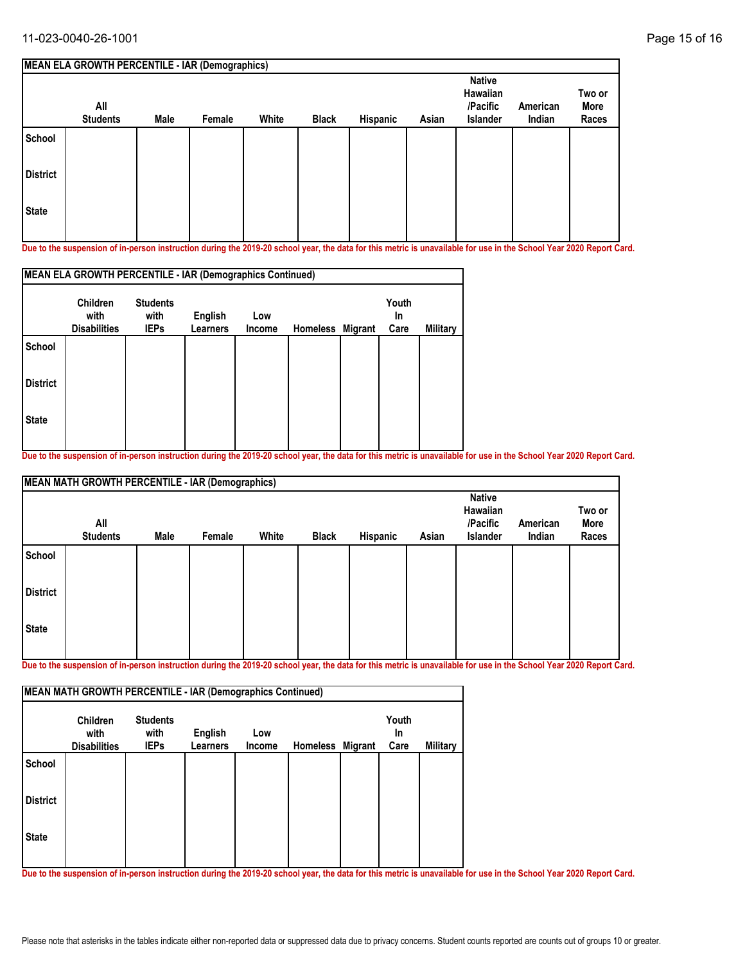|                 | <b>MEAN ELA GROWTH PERCENTILE - IAR (Demographics)</b> |             |        |       |       |          |       |                                                   |                    |                         |
|-----------------|--------------------------------------------------------|-------------|--------|-------|-------|----------|-------|---------------------------------------------------|--------------------|-------------------------|
|                 | All<br><b>Students</b>                                 | <b>Male</b> | Female | White | Black | Hispanic | Asian | <b>Native</b><br>Hawaiian<br>/Pacific<br>Islander | American<br>Indian | Two or<br>More<br>Races |
| School          |                                                        |             |        |       |       |          |       |                                                   |                    |                         |
| <b>District</b> |                                                        |             |        |       |       |          |       |                                                   |                    |                         |
| <b>State</b>    |                                                        |             |        |       |       |          |       |                                                   |                    |                         |

**Due to the suspension of in-person instruction during the 2019-20 school year, the data for this metric is unavailable for use in the School Year 2020 Report Card.**

| Youth<br><b>Students</b><br><b>Children</b><br>with<br>English<br>with<br>Low<br>In |             |                 |        |  |  |                                                                               |          |  |  |  |  |  |
|-------------------------------------------------------------------------------------|-------------|-----------------|--------|--|--|-------------------------------------------------------------------------------|----------|--|--|--|--|--|
| <b>Disabilities</b>                                                                 | <b>IEPs</b> | <b>Learners</b> | Income |  |  | Care                                                                          | Military |  |  |  |  |  |
|                                                                                     |             |                 |        |  |  |                                                                               |          |  |  |  |  |  |
|                                                                                     |             |                 |        |  |  |                                                                               |          |  |  |  |  |  |
|                                                                                     |             |                 |        |  |  |                                                                               |          |  |  |  |  |  |
|                                                                                     |             |                 |        |  |  | MEAN ELA GROWTH PERCENTILE - IAR (Demographics Continued)<br>Homeless Migrant |          |  |  |  |  |  |

**Due to the suspension of in-person instruction during the 2019-20 school year, the data for this metric is unavailable for use in the School Year 2020 Report Card.**

|                 | <b>MEAN MATH GROWTH PERCENTILE - IAR (Demographics)</b> |      |        |       |              |          |       |                                                   |                    |                         |  |  |
|-----------------|---------------------------------------------------------|------|--------|-------|--------------|----------|-------|---------------------------------------------------|--------------------|-------------------------|--|--|
|                 | All<br><b>Students</b>                                  | Male | Female | White | <b>Black</b> | Hispanic | Asian | <b>Native</b><br>Hawaiian<br>/Pacific<br>Islander | American<br>Indian | Two or<br>More<br>Races |  |  |
| School          |                                                         |      |        |       |              |          |       |                                                   |                    |                         |  |  |
| <b>District</b> |                                                         |      |        |       |              |          |       |                                                   |                    |                         |  |  |
| <b>State</b>    |                                                         |      |        |       |              |          |       |                                                   |                    |                         |  |  |

**Due to the suspension of in-person instruction during the 2019-20 school year, the data for this metric is unavailable for use in the School Year 2020 Report Card.**

|                 | <b>Children</b><br>with | <b>Students</b><br>with | English         | Low    |                  | Youth<br><b>In</b> |                 |
|-----------------|-------------------------|-------------------------|-----------------|--------|------------------|--------------------|-----------------|
|                 | <b>Disabilities</b>     | <b>IEPs</b>             | <b>Learners</b> | Income | Homeless Migrant | Care               | <b>Military</b> |
| School          |                         |                         |                 |        |                  |                    |                 |
| <b>District</b> |                         |                         |                 |        |                  |                    |                 |
| <b>State</b>    |                         |                         |                 |        |                  |                    |                 |